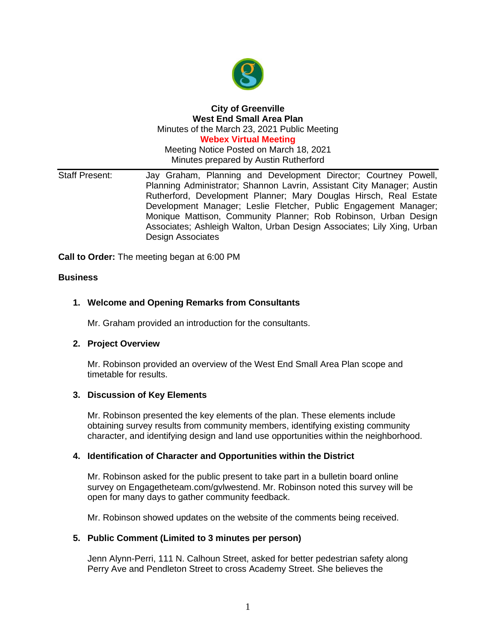

# **City of Greenville West End Small Area Plan** Minutes of the March 23, 2021 Public Meeting

**Webex Virtual Meeting**

Meeting Notice Posted on March 18, 2021 Minutes prepared by Austin Rutherford

Staff Present: Jay Graham, Planning and Development Director; Courtney Powell, Planning Administrator; Shannon Lavrin, Assistant City Manager; Austin Rutherford, Development Planner; Mary Douglas Hirsch, Real Estate Development Manager; Leslie Fletcher, Public Engagement Manager; Monique Mattison, Community Planner; Rob Robinson, Urban Design Associates; Ashleigh Walton, Urban Design Associates; Lily Xing, Urban Design Associates

**Call to Order:** The meeting began at 6:00 PM

### **Business**

### **1. Welcome and Opening Remarks from Consultants**

Mr. Graham provided an introduction for the consultants.

#### **2. Project Overview**

Mr. Robinson provided an overview of the West End Small Area Plan scope and timetable for results.

#### **3. Discussion of Key Elements**

Mr. Robinson presented the key elements of the plan. These elements include obtaining survey results from community members, identifying existing community character, and identifying design and land use opportunities within the neighborhood.

#### **4. Identification of Character and Opportunities within the District**

Mr. Robinson asked for the public present to take part in a bulletin board online survey on Engagetheteam.com/gvlwestend. Mr. Robinson noted this survey will be open for many days to gather community feedback.

Mr. Robinson showed updates on the website of the comments being received.

### **5. Public Comment (Limited to 3 minutes per person)**

Jenn Alynn-Perri, 111 N. Calhoun Street, asked for better pedestrian safety along Perry Ave and Pendleton Street to cross Academy Street. She believes the